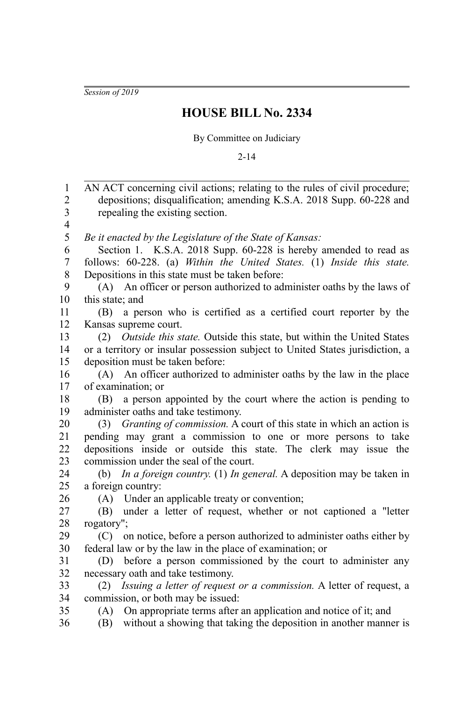*Session of 2019*

## **HOUSE BILL No. 2334**

By Committee on Judiciary

2-14

AN ACT concerning civil actions; relating to the rules of civil procedure; depositions; disqualification; amending K.S.A. 2018 Supp. 60-228 and repealing the existing section. *Be it enacted by the Legislature of the State of Kansas:* Section 1. K.S.A. 2018 Supp. 60-228 is hereby amended to read as follows: 60-228. (a) *Within the United States.* (1) *Inside this state.* Depositions in this state must be taken before: (A) An officer or person authorized to administer oaths by the laws of this state; and (B) a person who is certified as a certified court reporter by the Kansas supreme court. (2) *Outside this state.* Outside this state, but within the United States or a territory or insular possession subject to United States jurisdiction, a deposition must be taken before: (A) An officer authorized to administer oaths by the law in the place of examination; or (B) a person appointed by the court where the action is pending to administer oaths and take testimony. (3) *Granting of commission.* A court of this state in which an action is pending may grant a commission to one or more persons to take depositions inside or outside this state. The clerk may issue the commission under the seal of the court. (b) *In a foreign country.* (1) *In general.* A deposition may be taken in a foreign country: (A) Under an applicable treaty or convention; (B) under a letter of request, whether or not captioned a "letter rogatory"; (C) on notice, before a person authorized to administer oaths either by federal law or by the law in the place of examination; or (D) before a person commissioned by the court to administer any necessary oath and take testimony. (2) *Issuing a letter of request or a commission.* A letter of request, a commission, or both may be issued: (A) On appropriate terms after an application and notice of it; and (B) without a showing that taking the deposition in another manner is 1 2 3 4 5 6 7 8 9 10 11 12 13 14 15 16 17 18 19 20 21 22 23 24 25 26 27 28 29 30 31 32 33 34 35 36